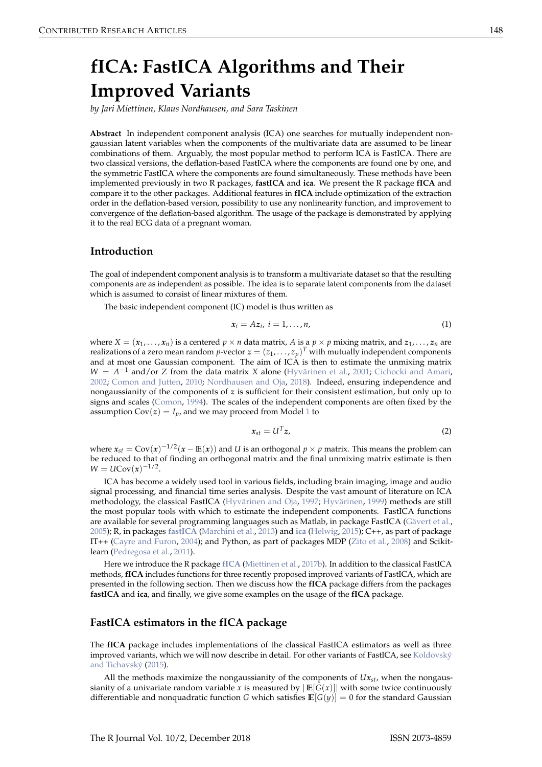# <span id="page-0-1"></span>**fICA: FastICA Algorithms and Their Improved Variants**

*by Jari Miettinen, Klaus Nordhausen, and Sara Taskinen*

**Abstract** In independent component analysis (ICA) one searches for mutually independent nongaussian latent variables when the components of the multivariate data are assumed to be linear combinations of them. Arguably, the most popular method to perform ICA is FastICA. There are two classical versions, the deflation-based FastICA where the components are found one by one, and the symmetric FastICA where the components are found simultaneously. These methods have been implemented previously in two R packages, **fastICA** and **ica**. We present the R package **fICA** and compare it to the other packages. Additional features in **fICA** include optimization of the extraction order in the deflation-based version, possibility to use any nonlinearity function, and improvement to convergence of the deflation-based algorithm. The usage of the package is demonstrated by applying it to the real ECG data of a pregnant woman.

#### **Introduction**

The goal of independent component analysis is to transform a multivariate dataset so that the resulting components are as independent as possible. The idea is to separate latent components from the dataset which is assumed to consist of linear mixtures of them.

The basic independent component (IC) model is thus written as

<span id="page-0-0"></span>
$$
x_i = Az_i, i = 1, \ldots, n,
$$
\n<sup>(1)</sup>

where  $X = (x_1, \ldots, x_n)$  is a centered  $p \times n$  data matrix, A is a  $p \times p$  mixing matrix, and  $z_1, \ldots, z_n$  are realizations of a zero mean random *p*-vector  $\mathbf{z} = (z_1, \ldots, z_p)^T$  with mutually independent components and at most one Gaussian component. The aim of ICA is then to estimate the unmixing matrix *W* = *A*<sup>-1</sup> and/or *Z* from the data matrix *X* alone [\(Hyvärinen et al.,](#page-9-0) [2001;](#page-9-0) [Cichocki and Amari,](#page-8-0) [2002;](#page-8-0) [Comon and Jutten,](#page-8-1) [2010;](#page-8-1) [Nordhausen and Oja,](#page-9-1) [2018\)](#page-9-1). Indeed, ensuring independence and nongaussianity of the components of *z* is sufficient for their consistent estimation, but only up to signs and scales [\(Comon,](#page-8-2) [1994\)](#page-8-2). The scales of the independent components are often fixed by the assumption  $Cov(z) = I_p$ , and we may proceed from Model [1](#page-0-0) to

$$
x_{st} = U^T z, \tag{2}
$$

where  $x_{st} = Cov(x)^{-1/2}(x - \mathbb{E}(x))$  and *U* is an orthogonal  $p \times p$  matrix. This means the problem can be reduced to that of finding an orthogonal matrix and the final unmixing matrix estimate is then  $W = UCov(x)^{-1/2}$ .

ICA has become a widely used tool in various fields, including brain imaging, image and audio signal processing, and financial time series analysis. Despite the vast amount of literature on ICA methodology, the classical FastICA [\(Hyvärinen and Oja,](#page-9-2) [1997;](#page-9-2) [Hyvärinen,](#page-9-3) [1999\)](#page-9-3) methods are still the most popular tools with which to estimate the independent components. FastICA functions are available for several programming languages such as Matlab, in package FastICA [\(Gävert et al.,](#page-9-4) [2005\)](#page-9-4); R, in packages **[fastICA](https://CRAN.R-project.org/package=fastICA)** [\(Marchini et al.,](#page-9-5) [2013\)](#page-9-5) and **[ica](https://CRAN.R-project.org/package=ica)** [\(Helwig,](#page-9-6) [2015\)](#page-9-6); C++, as part of package IT++ [\(Cayre and Furon,](#page-8-3) [2004\)](#page-8-3); and Python, as part of packages MDP [\(Zito et al.,](#page-10-0) [2008\)](#page-10-0) and Scikitlearn [\(Pedregosa et al.,](#page-10-1) [2011\)](#page-10-1).

Here we introduce the R package **[fICA](https://CRAN.R-project.org/package=fICA)** [\(Miettinen et al.,](#page-9-7) [2017b\)](#page-9-7). In addition to the classical FastICA methods, **fICA** includes functions for three recently proposed improved variants of FastICA, which are presented in the following section. Then we discuss how the **fICA** package differs from the packages **fastICA** and **ica**, and finally, we give some examples on the usage of the **fICA** package.

## **FastICA estimators in the fICA package**

The **fICA** package includes implementations of the classical FastICA estimators as well as three improved variants, which we will now describe in detail. For other variants of FastICA, see [Koldovský](#page-9-8) [and Tichavský](#page-9-8) [\(2015\)](#page-9-8).

All the methods maximize the nongaussianity of the components of  $U_{x}$ <sub>*st*</sub>, when the nongaussianity of a univariate random variable *x* is measured by  $|E[G(x)]|$  with some twice continuously differentiable and nonquadratic function *G* which satisfies  $\mathbb{E}[G(y)] = 0$  for the standard Gaussian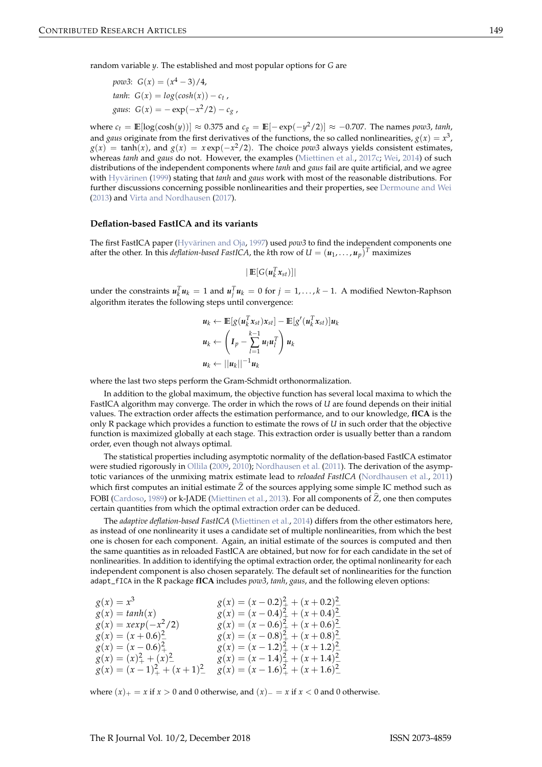<span id="page-1-0"></span>random variable *y*. The established and most popular options for *G* are

$$
pow3: G(x) = (x4 - 3)/4,
$$
  
\n
$$
tanh: G(x) = log(cosh(x)) - c_t,
$$
  
\n
$$
gaus: G(x) = -exp(-x2/2) - c_g,
$$

where  $c_t = \mathbb{E}[\log(\cosh(y))] \approx 0.375$  and  $c_g = \mathbb{E}[-\exp(-y^2/2)] \approx -0.707$ . The names *pow3*, *tanh*, and *gaus* originate from the first derivatives of the functions, the so called nonlinearities,  $g(x) = x^3$ ,  $g(x) = \tanh(x)$ , and  $g(x) = x \exp(-x^2/2)$ . The choice *pow3* always yields consistent estimates, whereas *tanh* and *gaus* do not. However, the examples [\(Miettinen et al.,](#page-9-9) [2017c;](#page-9-9) [Wei,](#page-10-2) [2014\)](#page-10-2) of such distributions of the independent components where *tanh* and *gaus* fail are quite artificial, and we agree with [Hyvärinen](#page-9-3) [\(1999\)](#page-9-3) stating that *tanh* and *gaus* work with most of the reasonable distributions. For further discussions concerning possible nonlinearities and their properties, see [Dermoune and Wei](#page-9-10) [\(2013\)](#page-9-10) and [Virta and Nordhausen](#page-10-3) [\(2017\)](#page-10-3).

#### **Deflation-based FastICA and its variants**

The first FastICA paper [\(Hyvärinen and Oja,](#page-9-2) [1997\)](#page-9-2) used *pow3* to find the independent components one after the other. In this *deflation-based FastICA,* the *k*th row of  $U = (\boldsymbol{u}_1, \dots, \boldsymbol{u}_p)^T$  maximizes

 $|\mathbb{E}[G(u_k^T x_{st})]|$ 

under the constraints  $u_k^T u_k = 1$  and  $u_j^T u_k = 0$  for  $j = 1, ..., k - 1$ . A modified Newton-Raphson algorithm iterates the following steps until convergence:

$$
\begin{aligned} \mathbf{u}_k &\leftarrow \mathbb{E}[g(\mathbf{u}_k^T \mathbf{x}_{st}) \mathbf{x}_{st}] - \mathbb{E}[g'(\mathbf{u}_k^T \mathbf{x}_{st})] \mathbf{u}_k \\ \mathbf{u}_k &\leftarrow \left(\mathbf{I}_p - \sum_{l=1}^{k-1} \mathbf{u}_l \mathbf{u}_l^T\right) \mathbf{u}_k \\ \mathbf{u}_k &\leftarrow ||\mathbf{u}_k||^{-1} \mathbf{u}_k \end{aligned}
$$

where the last two steps perform the Gram-Schmidt orthonormalization.

In addition to the global maximum, the objective function has several local maxima to which the FastICA algorithm may converge. The order in which the rows of *U* are found depends on their initial values. The extraction order affects the estimation performance, and to our knowledge, **fICA** is the only R package which provides a function to estimate the rows of *U* in such order that the objective function is maximized globally at each stage. This extraction order is usually better than a random order, even though not always optimal.

The statistical properties including asymptotic normality of the deflation-based FastICA estimator were studied rigorously in [Ollila](#page-9-11) [\(2009,](#page-9-11) [2010\)](#page-10-4); [Nordhausen et al.](#page-9-12) [\(2011\)](#page-9-12). The derivation of the asymptotic variances of the unmixing matrix estimate lead to *reloaded FastICA* [\(Nordhausen et al.,](#page-9-12) [2011\)](#page-9-12) which first computes an initial estimate  $\tilde{Z}$  of the sources applying some simple IC method such as FOBI [\(Cardoso,](#page-8-4) [1989\)](#page-8-4) or k-JADE [\(Miettinen et al.,](#page-9-13) [2013\)](#page-9-13). For all components of  $\hat{Z}$ , one then computes certain quantities from which the optimal extraction order can be deduced.

The *adaptive deflation-based FastICA* [\(Miettinen et al.,](#page-9-14) [2014\)](#page-9-14) differs from the other estimators here, as instead of one nonlinearity it uses a candidate set of multiple nonlinearities, from which the best one is chosen for each component. Again, an initial estimate of the sources is computed and then the same quantities as in reloaded FastICA are obtained, but now for for each candidate in the set of nonlinearities. In addition to identifying the optimal extraction order, the optimal nonlinearity for each independent component is also chosen separately. The default set of nonlinearities for the function adapt\_fICA in the R package **fICA** includes *pow3*, *tanh*, *gaus*, and the following eleven options:

| $g(x) = x^3$               | $g(x) = (x - 0.2)^2 + (x + 0.2)^2$             |
|----------------------------|------------------------------------------------|
| $g(x) = tanh(x)$           | $g(x) = (x - 0.4)^2 + (x + 0.4)^2$             |
| $g(x) = x \exp(-x^2/2)$    | $g(x) = (x - 0.6)^2 + (x + 0.6)^2$             |
| $g(x) = (x + 0.6)^2$       | $g(x) = (x - 0.8)^2 + (x + 0.8)^2$             |
| $g(x) = (x - 0.6)^2_+$     | $g(x) = (x - 1.2)^2 + (x + 1.2)^2$             |
| $g(x) = (x)_+^2 + (x)_-^2$ | $g(x) = (x - 1.4)^2 + (x + 1.4)^2$             |
| $g(x) = (x-1)^2 + (x+1)^2$ | $g(x) = (x - 1.6)^{2}_{+} + (x + 1.6)^{2}_{-}$ |

where  $(x)$ <sub>+</sub> = *x* if *x* > 0 and 0 otherwise, and  $(x)$ <sub>−</sub> = *x* if *x* < 0 and 0 otherwise.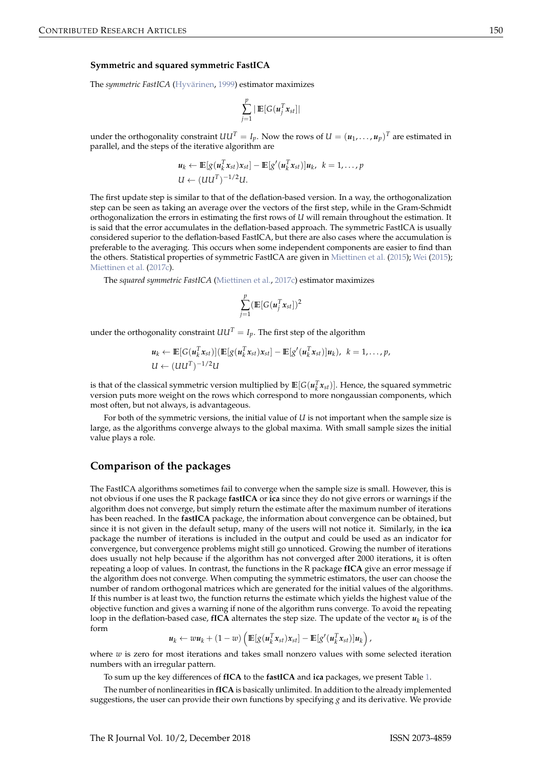#### <span id="page-2-0"></span>**Symmetric and squared symmetric FastICA**

The *symmetric FastICA* [\(Hyvärinen,](#page-9-3) [1999\)](#page-9-3) estimator maximizes

$$
\sum_{j=1}^p | \mathop{\mathbb{E}}[G(u_j^T x_{st}] |
$$

under the orthogonality constraint  $UU^T = I_p$ . Now the rows of  $U = (u_1, \ldots, u_p)^T$  are estimated in parallel, and the steps of the iterative algorithm are

$$
\mathbf{u}_k \leftarrow \mathbb{E}[g(\mathbf{u}_k^T \mathbf{x}_{st}) \mathbf{x}_{st}] - \mathbb{E}[g'(\mathbf{u}_k^T \mathbf{x}_{st})] \mathbf{u}_k, \ k = 1, \ldots, p
$$
  

$$
U \leftarrow (UU^T)^{-1/2} U.
$$

The first update step is similar to that of the deflation-based version. In a way, the orthogonalization step can be seen as taking an average over the vectors of the first step, while in the Gram-Schmidt orthogonalization the errors in estimating the first rows of *U* will remain throughout the estimation. It is said that the error accumulates in the deflation-based approach. The symmetric FastICA is usually considered superior to the deflation-based FastICA, but there are also cases where the accumulation is preferable to the averaging. This occurs when some independent components are easier to find than the others. Statistical properties of symmetric FastICA are given in [Miettinen et al.](#page-9-15) [\(2015\)](#page-9-15); [Wei](#page-10-5) [\(2015\)](#page-10-5); [Miettinen et al.](#page-9-9) [\(2017c\)](#page-9-9).

The *squared symmetric FastICA* [\(Miettinen et al.,](#page-9-9) [2017c\)](#page-9-9) estimator maximizes

$$
\sum_{j=1}^p (\mathop{\mathrm{I\!E}}[G(u_j^T x_{st}])^2
$$

under the orthogonality constraint  $UU^T = I_p$ . The first step of the algorithm

$$
\mathbf{u}_k \leftarrow \mathbb{E}[G(\mathbf{u}_k^T \mathbf{x}_{st})](\mathbb{E}[g(\mathbf{u}_k^T \mathbf{x}_{st})\mathbf{x}_{st}] - \mathbb{E}[g'(\mathbf{u}_k^T \mathbf{x}_{st})]\mathbf{u}_k), \ k = 1,\ldots,p,
$$
  

$$
U \leftarrow (UU^T)^{-1/2}U
$$

is that of the classical symmetric version multiplied by  $\mathbb{E}[G(u_k^T x_{st})]$ . Hence, the squared symmetric version puts more weight on the rows which correspond to more nongaussian components, which most often, but not always, is advantageous.

For both of the symmetric versions, the initial value of *U* is not important when the sample size is large, as the algorithms converge always to the global maxima. With small sample sizes the initial value plays a role.

### **Comparison of the packages**

The FastICA algorithms sometimes fail to converge when the sample size is small. However, this is not obvious if one uses the R package **fastICA** or **ica** since they do not give errors or warnings if the algorithm does not converge, but simply return the estimate after the maximum number of iterations has been reached. In the **fastICA** package, the information about convergence can be obtained, but since it is not given in the default setup, many of the users will not notice it. Similarly, in the **ica** package the number of iterations is included in the output and could be used as an indicator for convergence, but convergence problems might still go unnoticed. Growing the number of iterations does usually not help because if the algorithm has not converged after 2000 iterations, it is often repeating a loop of values. In contrast, the functions in the R package **fICA** give an error message if the algorithm does not converge. When computing the symmetric estimators, the user can choose the number of random orthogonal matrices which are generated for the initial values of the algorithms. If this number is at least two, the function returns the estimate which yields the highest value of the objective function and gives a warning if none of the algorithm runs converge. To avoid the repeating loop in the deflation-based case,  $fICA$  alternates the step size. The update of the vector  $u_k$  is of the form

$$
\boldsymbol{u}_k \leftarrow w \boldsymbol{u}_k + (1-w) \left( \mathbb{E} [g(\boldsymbol{u}_k^T \boldsymbol{x}_{st}) \boldsymbol{x}_{st}] - \mathbb{E} [g'(\boldsymbol{u}_k^T \boldsymbol{x}_{st})] \boldsymbol{u}_k \right),
$$

where *w* is zero for most iterations and takes small nonzero values with some selected iteration numbers with an irregular pattern.

To sum up the key differences of **fICA** to the **fastICA** and **ica** packages, we present Table [1.](#page-3-0)

The number of nonlinearities in **fICA** is basically unlimited. In addition to the already implemented suggestions, the user can provide their own functions by specifying *g* and its derivative. We provide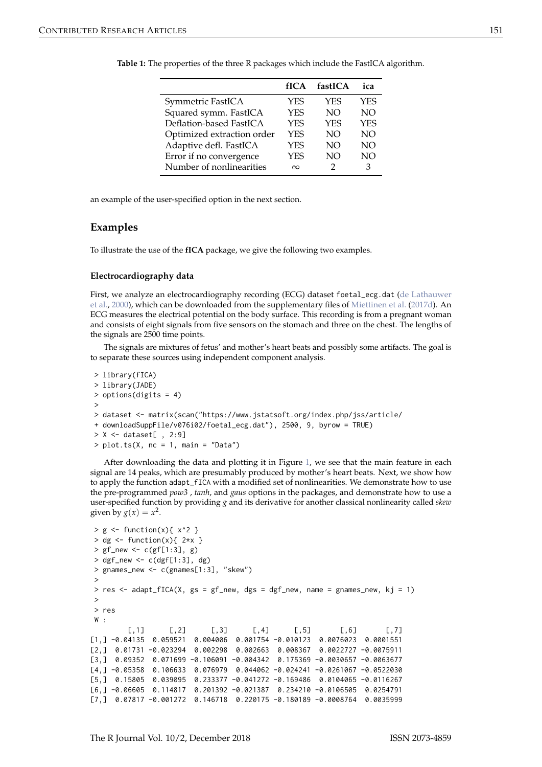|                            | fICA       | fastICA    | ica        |
|----------------------------|------------|------------|------------|
| Symmetric FastICA          | <b>YES</b> | <b>YES</b> | YES        |
| Squared symm. FastICA      | <b>YES</b> | NO.        | <b>NO</b>  |
| Deflation-based FastICA    | <b>YES</b> | <b>YES</b> | <b>YES</b> |
| Optimized extraction order | <b>YES</b> | NO         | NO         |
| Adaptive defl. FastICA     | <b>YES</b> | NO         | NO         |
| Error if no convergence    | <b>YES</b> | NO         | NO         |
| Number of nonlinearities   | $\infty$   | 2          | 3          |

<span id="page-3-1"></span><span id="page-3-0"></span>

| Table 1: The properties of the three R packages which include the FastICA algorithm. |
|--------------------------------------------------------------------------------------|
|--------------------------------------------------------------------------------------|

an example of the user-specified option in the next section.

#### **Examples**

To illustrate the use of the **fICA** package, we give the following two examples.

#### **Electrocardiography data**

First, we analyze an electrocardiography recording (ECG) dataset foetal\_ecg.dat [\(de Lathauwer](#page-9-16) [et al.,](#page-9-16) [2000\)](#page-9-16), which can be downloaded from the supplementary files of [Miettinen et al.](#page-9-17) [\(2017d\)](#page-9-17). An ECG measures the electrical potential on the body surface. This recording is from a pregnant woman and consists of eight signals from five sensors on the stomach and three on the chest. The lengths of the signals are 2500 time points.

The signals are mixtures of fetus' and mother's heart beats and possibly some artifacts. The goal is to separate these sources using independent component analysis.

```
> library(fICA)
> library(JADE)
> options(digits = 4)
>
> dataset <- matrix(scan("https://www.jstatsoft.org/index.php/jss/article/
+ downloadSuppFile/v076i02/foetal_ecg.dat"), 2500, 9, byrow = TRUE)
> X < - dataset[, 2:9]
> plot.ts(X, nc = 1, main = "Data")
```
After downloading the data and plotting it in Figure [1,](#page-4-0) we see that the main feature in each signal are 14 peaks, which are presumably produced by mother's heart beats. Next, we show how to apply the function adapt\_fICA with a modified set of nonlinearities. We demonstrate how to use the pre-programmed *pow3* , *tanh*, and *gaus* options in the packages, and demonstrate how to use a user-specified function by providing *g* and its derivative for another classical nonlinearity called *skew* given by  $g(x) = x^2$ .

```
> g \leftarrow function(x) { x^2 }> dg <- function(x){ 2*x }
> gf_{new} < -c(gf[1:3], g)> dgf_new <- c(dgf[1:3], dg)
> gnames_new <- c(gnames[1:3], "skew")
 >
> res \le - adapt_fICA(X, gs = gf_new, dgs = dgf_new, name = gnames_new, kj = 1)
\rightarrow> res
W :
        [0,1] [0,2] [0,3] [0,4] [0,5] [0,6] [0,7][1,] -0.04135 0.059521 0.004006 0.001754 -0.010123 0.0076023 0.0001551
[2,] 0.01731 -0.023294 0.002298 0.002663 0.008367 0.0022727 -0.0075911
[3,] 0.09352 0.071699 -0.106091 -0.004342 0.175369 -0.0030657 -0.0063677
[4,] -0.05358 0.106633 0.076979 0.044062 -0.024241 -0.0261067 -0.0522030
[5,] 0.15805 0.039095 0.233377 -0.041272 -0.169486 0.0104065 -0.0116267
[6,] -0.06605 0.114817 0.201392 -0.021387 0.234210 -0.0106505 0.0254791
[7,] 0.07817 -0.001272 0.146718 0.220175 -0.180189 -0.0008764 0.0035999
```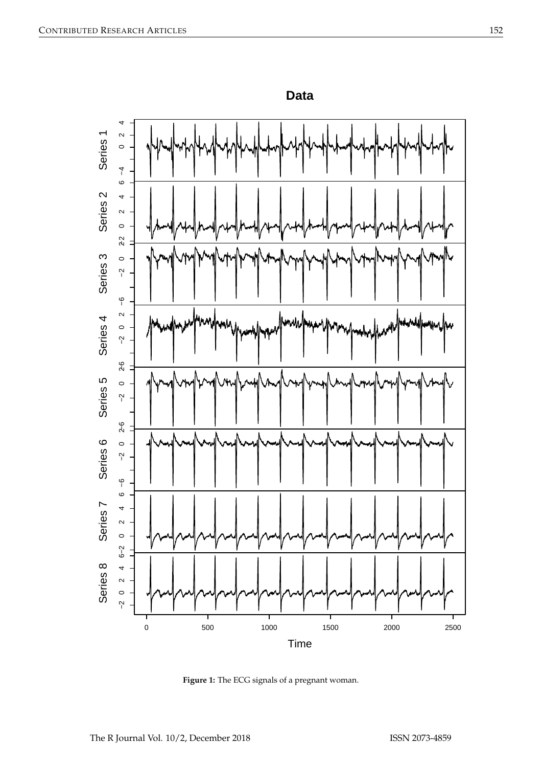<span id="page-4-0"></span>

**Data**

**Figure 1:** The ECG signals of a pregnant woman.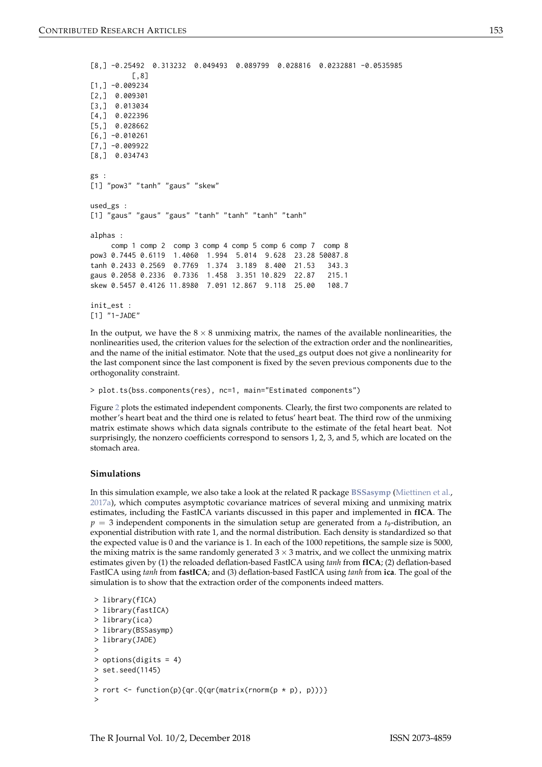```
[8,] -0.25492 0.313232 0.049493 0.089799 0.028816 0.0232881 -0.0535985
         [,8]
[1, ] -0.009234[2,] 0.009301
[3,] 0.013034
[4,] 0.022396
[5,] 0.028662
[6, ] -0.010261[7, ] -0.009922[8,] 0.034743
gs :
[1] "pow3" "tanh" "gaus" "skew"
used_gs :
[1] "gaus" "gaus" "gaus" "tanh" "tanh" "tanh" "tanh"
alphas :
    comp 1 comp 2 comp 3 comp 4 comp 5 comp 6 comp 7 comp 8
pow3 0.7445 0.6119 1.4060 1.994 5.014 9.628 23.28 50087.8
tanh 0.2433 0.2569 0.7769 1.374 3.189 8.400 21.53 343.3
gaus 0.2058 0.2336 0.7336 1.458 3.351 10.829 22.87 215.1
skew 0.5457 0.4126 11.8980 7.091 12.867 9.118 25.00 108.7
init_est :
[1] "1-JADE"
```
In the output, we have the  $8 \times 8$  unmixing matrix, the names of the available nonlinearities, the nonlinearities used, the criterion values for the selection of the extraction order and the nonlinearities, and the name of the initial estimator. Note that the used\_gs output does not give a nonlinearity for the last component since the last component is fixed by the seven previous components due to the orthogonality constraint.

> plot.ts(bss.components(res), nc=1, main="Estimated components")

Figure [2](#page-6-0) plots the estimated independent components. Clearly, the first two components are related to mother's heart beat and the third one is related to fetus' heart beat. The third row of the unmixing matrix estimate shows which data signals contribute to the estimate of the fetal heart beat. Not surprisingly, the nonzero coefficients correspond to sensors 1, 2, 3, and 5, which are located on the stomach area.

#### **Simulations**

In this simulation example, we also take a look at the related R package **[BSSasymp](https://CRAN.R-project.org/package=BSSasymp)** [\(Miettinen et al.,](#page-9-18) [2017a\)](#page-9-18), which computes asymptotic covariance matrices of several mixing and unmixing matrix estimates, including the FastICA variants discussed in this paper and implemented in **fICA**. The *p* = 3 independent components in the simulation setup are generated from a *t*9-distribution, an exponential distribution with rate 1, and the normal distribution. Each density is standardized so that the expected value is 0 and the variance is 1. In each of the 1000 repetitions, the sample size is 5000, the mixing matrix is the same randomly generated  $3 \times 3$  matrix, and we collect the unmixing matrix estimates given by (1) the reloaded deflation-based FastICA using *tanh* from **fICA**; (2) deflation-based FastICA using *tanh* from **fastICA**; and (3) deflation-based FastICA using *tanh* from **ica**. The goal of the simulation is to show that the extraction order of the components indeed matters.

```
> library(fICA)
> library(fastICA)
> library(ica)
> library(BSSasymp)
> library(JADE)
>
> options(digits = 4)
> set.seed(1145)
>
> rort <- function(p){qr.Q(qr(matrix(rnorm(p * p), p)))}
>
```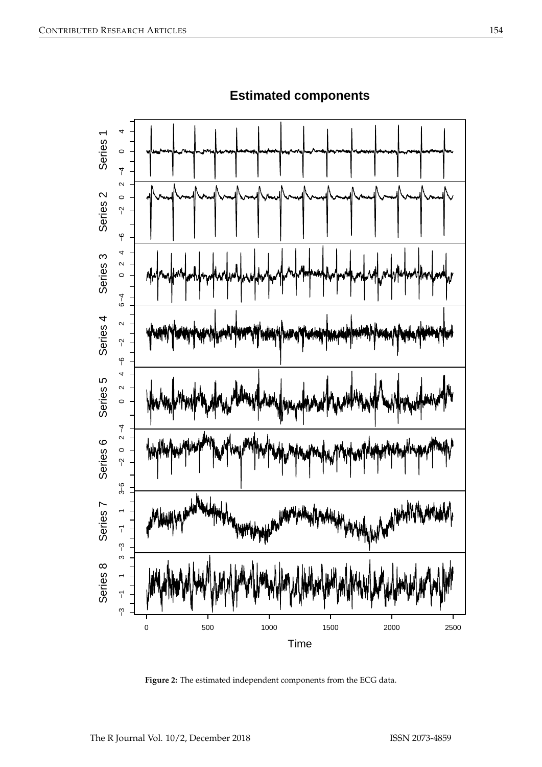<span id="page-6-0"></span>

# **Estimated components**

**Figure 2:** The estimated independent components from the ECG data.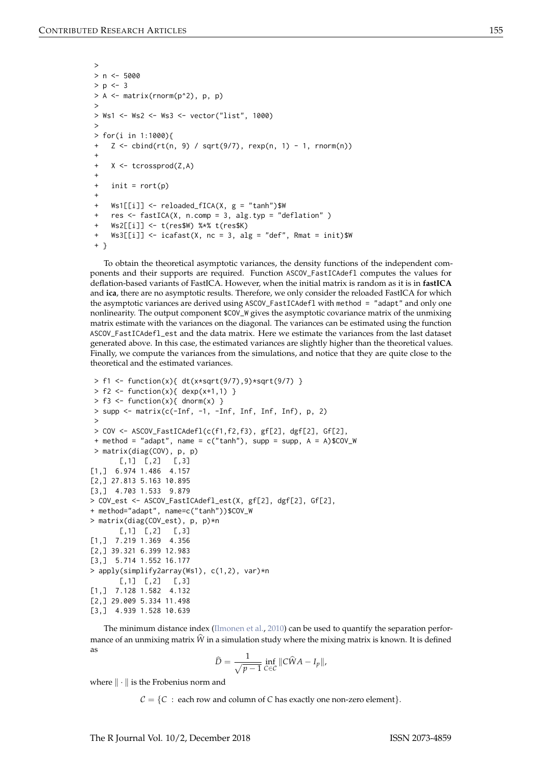```
>
> n < -5000> p < -3> A <- matrix(rnorm(p^2), p, p)
>
> Ws1 <- Ws2 <- Ws3 <- vector("list", 1000)
>
> for(i in 1:1000){
   Z \le cbind(rt(n, 9) / sqrt(9/7), rexp(n, 1) - 1, rnorm(n))
+
+ X <- tcrossprod(Z,A)
+
+ init = rort(p)
+
+ Ws1[[i]] <- reloaded_fICA(X, g = "tanh")$W
+ res <- fastICA(X, n.comp = 3, alg.typ = "deflation" )
+ Ws2[[i]] <- t(res$W) %*% t(res$K)
+ Ws3[[i]] <- icafast(X, nc = 3, alg = "def", Rmat = init)$W
+ }
```
To obtain the theoretical asymptotic variances, the density functions of the independent components and their supports are required. Function ASCOV\_FastICAdefl computes the values for deflation-based variants of FastICA. However, when the initial matrix is random as it is in **fastICA** and **ica**, there are no asymptotic results. Therefore, we only consider the reloaded FastICA for which the asymptotic variances are derived using ASCOV\_FastICAdefl with method = "adapt" and only one nonlinearity. The output component \$COV\_W gives the asymptotic covariance matrix of the unmixing matrix estimate with the variances on the diagonal. The variances can be estimated using the function ASCOV\_FastICAdefl\_est and the data matrix. Here we estimate the variances from the last dataset generated above. In this case, the estimated variances are slightly higher than the theoretical values. Finally, we compute the variances from the simulations, and notice that they are quite close to the theoretical and the estimated variances.

```
> f1 \leq function(x){ dt(x*sqrt(9/7),9)*sqrt(9/7) }
> f2 < - function(x){ dexp(x+1,1) }
> f3 < - function(x){ dnorm(x) }
> supp \le matrix(c(-Inf, -1, -Inf, Inf, Inf, Inf), p, 2)
 >
> COV <- ASCOV_FastICAdefl(c(f1,f2,f3), gf[2], dgf[2], Gf[2],
+ method = "adapt", name = c("tanh"), supp = supp, A = A)$COV_W
> matrix(diag(COV), p, p)
      [0,1] [0,2] [0,3][1,] 6.974 1.486 4.157
[2,] 27.813 5.163 10.895
[3,] 4.703 1.533 9.879
> COV_est <- ASCOV_FastICAdefl_est(X, gf[2], dgf[2], Gf[2],
+ method="adapt", name=c("tanh"))$COV_W
> matrix(diag(COV_est), p, p)*n
       [0, 1] [0, 2] [0, 3][1,] 7.219 1.369 4.356
[2,] 39.321 6.399 12.983
[3,] 5.714 1.552 16.177
> apply(simplify2array(Ws1), c(1,2), var)*n
       [0, 1] [0, 2] [0, 3][1,] 7.128 1.582 4.132
[2,] 29.009 5.334 11.498
[3,] 4.939 1.528 10.639
```
The minimum distance index [\(Ilmonen et al.,](#page-9-19) [2010\)](#page-9-19) can be used to quantify the separation performance of an unmixing matrix  $\hat{W}$  in a simulation study where the mixing matrix is known. It is defined as

$$
\widehat{D} = \frac{1}{\sqrt{p-1}} \inf_{C \in \mathcal{C}} \|C\widehat{W}A - I_p\|,
$$

where  $\|\cdot\|$  is the Frobenius norm and

 $C = \{C : each row and column of C has exactly one non-zero element\}.$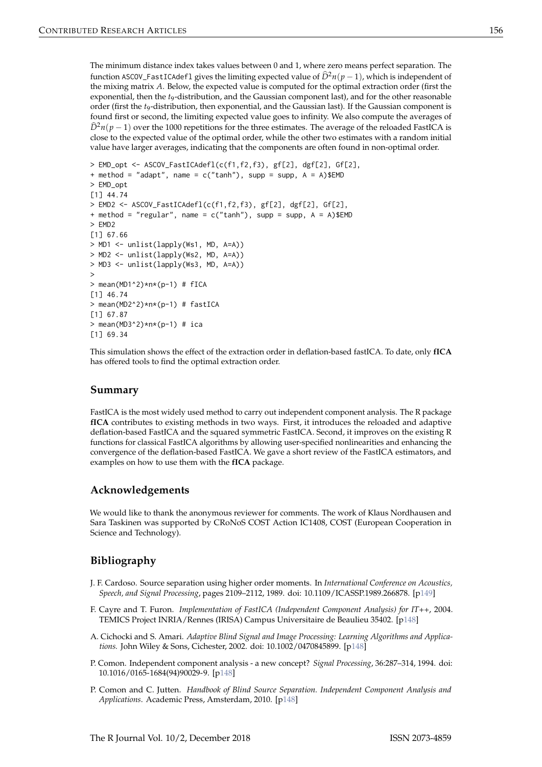The minimum distance index takes values between 0 and 1, where zero means perfect separation. The function ASCOV\_FastICAdefl gives the limiting expected value of  $\hat{D}^2n(p-1)$ , which is independent of the mixing matrix *A*. Below, the expected value is computed for the optimal extraction order (first the exponential, then the *t*9-distribution, and the Gaussian component last), and for the other reasonable order (first the *t*9-distribution, then exponential, and the Gaussian last). If the Gaussian component is found first or second, the limiting expected value goes to infinity. We also compute the averages of  $\hat{D}^2n(p-1)$  over the 1000 repetitions for the three estimates. The average of the reloaded FastICA is close to the expected value of the optimal order, while the other two estimates with a random initial value have larger averages, indicating that the components are often found in non-optimal order.

```
> EMD_opt <- ASCOV_FastICAdefl(c(f1,f2,f3), gf[2], dgf[2], Gf[2],
+ method = "adapt", name = c("tanh"), supp = supp, A = A)$EMD
> EMD_opt
[1] 44.74
> EMD2 <- ASCOV_FastICAdefl(c(f1,f2,f3), gf[2], dgf[2], Gf[2],
+ method = "regular", name = c("tanh"), supp = supp, A = A)$EMD
> EMD2
[1] 67.66
> MD1 <- unlist(lapply(Ws1, MD, A=A))
> MD2 <- unlist(lapply(Ws2, MD, A=A))
> MD3 <- unlist(lapply(Ws3, MD, A=A))
>
> mean(MD1^2)*n*(p-1) # fICA[1] 46.74
> mean(MD2^2)*n*(p-1) # fastICA
[1] 67.87
> mean(MD3^2)*n*(p-1) # ica
[1] 69.34
```
This simulation shows the effect of the extraction order in deflation-based fastICA. To date, only **fICA** has offered tools to find the optimal extraction order.

# **Summary**

FastICA is the most widely used method to carry out independent component analysis. The R package **fICA** contributes to existing methods in two ways. First, it introduces the reloaded and adaptive deflation-based FastICA and the squared symmetric FastICA. Second, it improves on the existing R functions for classical FastICA algorithms by allowing user-specified nonlinearities and enhancing the convergence of the deflation-based FastICA. We gave a short review of the FastICA estimators, and examples on how to use them with the **fICA** package.

# **Acknowledgements**

We would like to thank the anonymous reviewer for comments. The work of Klaus Nordhausen and Sara Taskinen was supported by CRoNoS COST Action IC1408, COST (European Cooperation in Science and Technology).

# **Bibliography**

- <span id="page-8-4"></span>J. F. Cardoso. Source separation using higher order moments. In *International Conference on Acoustics, Speech, and Signal Processing*, pages 2109–2112, 1989. doi: 10.1109/ICASSP.1989.266878. [[p149\]](#page-1-0)
- <span id="page-8-3"></span>F. Cayre and T. Furon. *Implementation of FastICA (Independent Component Analysis) for IT++*, 2004. TEMICS Project INRIA/Rennes (IRISA) Campus Universitaire de Beaulieu 35402. [[p148\]](#page-0-1)
- <span id="page-8-0"></span>A. Cichocki and S. Amari. *Adaptive Blind Signal and Image Processing: Learning Algorithms and Applications.* John Wiley & Sons, Cichester, 2002. doi: 10.1002/0470845899. [[p148\]](#page-0-1)
- <span id="page-8-2"></span>P. Comon. Independent component analysis - a new concept? *Signal Processing*, 36:287–314, 1994. doi: 10.1016/0165-1684(94)90029-9. [[p148\]](#page-0-1)
- <span id="page-8-1"></span>P. Comon and C. Jutten. *Handbook of Blind Source Separation. Independent Component Analysis and Applications*. Academic Press, Amsterdam, 2010. [[p148\]](#page-0-1)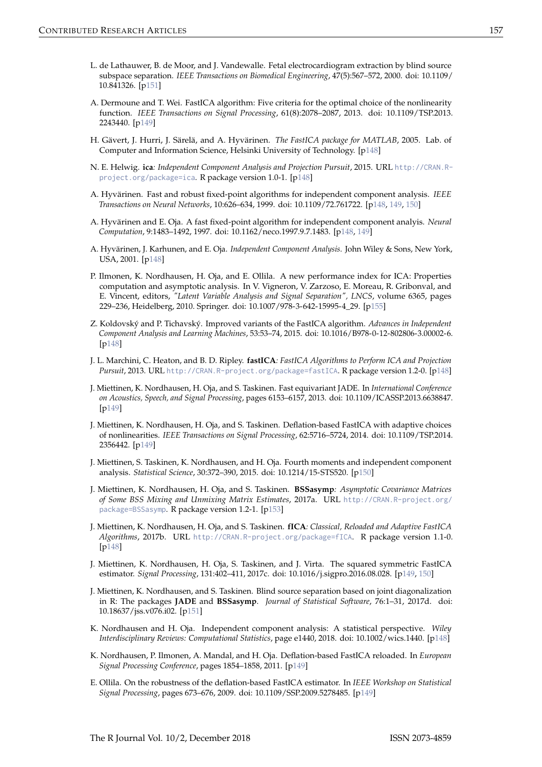- <span id="page-9-16"></span>L. de Lathauwer, B. de Moor, and J. Vandewalle. Fetal electrocardiogram extraction by blind source subspace separation. *IEEE Transactions on Biomedical Engineering*, 47(5):567–572, 2000. doi: 10.1109/ 10.841326. [[p151\]](#page-3-1)
- <span id="page-9-10"></span>A. Dermoune and T. Wei. FastICA algorithm: Five criteria for the optimal choice of the nonlinearity function. *IEEE Transactions on Signal Processing*, 61(8):2078–2087, 2013. doi: 10.1109/TSP.2013. 2243440. [[p149\]](#page-1-0)
- <span id="page-9-4"></span>H. Gävert, J. Hurri, J. Särelä, and A. Hyvärinen. *The FastICA package for MATLAB*, 2005. Lab. of Computer and Information Science, Helsinki University of Technology. [[p148\]](#page-0-1)
- <span id="page-9-6"></span>N. E. Helwig. **ica***: Independent Component Analysis and Projection Pursuit*, 2015. URL [http://CRAN.R](http://CRAN.R-project.org/package=ica)[project.org/package=ica](http://CRAN.R-project.org/package=ica). R package version 1.0-1. [[p148\]](#page-0-1)
- <span id="page-9-3"></span>A. Hyvärinen. Fast and robust fixed-point algorithms for independent component analysis. *IEEE Transactions on Neural Networks*, 10:626–634, 1999. doi: 10.1109/72.761722. [[p148,](#page-0-1) [149,](#page-1-0) [150\]](#page-2-0)
- <span id="page-9-2"></span>A. Hyvärinen and E. Oja. A fast fixed-point algorithm for independent component analyis. *Neural Computation*, 9:1483–1492, 1997. doi: 10.1162/neco.1997.9.7.1483. [[p148,](#page-0-1) [149\]](#page-1-0)
- <span id="page-9-0"></span>A. Hyvärinen, J. Karhunen, and E. Oja. *Independent Component Analysis*. John Wiley & Sons, New York, USA, 2001. [[p148\]](#page-0-1)
- <span id="page-9-19"></span>P. Ilmonen, K. Nordhausen, H. Oja, and E. Ollila. A new performance index for ICA: Properties computation and asymptotic analysis. In V. Vigneron, V. Zarzoso, E. Moreau, R. Gribonval, and E. Vincent, editors, *"Latent Variable Analysis and Signal Separation", LNCS*, volume 6365, pages 229–236, Heidelberg, 2010. Springer. doi: 10.1007/978-3-642-15995-4\_29. [[p155\]](#page-7-0)
- <span id="page-9-8"></span>Z. Koldovský and P. Tichavský. Improved variants of the FastICA algorithm. *Advances in Independent Component Analysis and Learning Machines*, 53:53–74, 2015. doi: 10.1016/B978-0-12-802806-3.00002-6. [[p148\]](#page-0-1)
- <span id="page-9-5"></span>J. L. Marchini, C. Heaton, and B. D. Ripley. **fastICA***: FastICA Algorithms to Perform ICA and Projection Pursuit*, 2013. URL <http://CRAN.R-project.org/package=fastICA>. R package version 1.2-0. [[p148\]](#page-0-1)
- <span id="page-9-13"></span>J. Miettinen, K. Nordhausen, H. Oja, and S. Taskinen. Fast equivariant JADE. In *International Conference on Acoustics, Speech, and Signal Processing*, pages 6153–6157, 2013. doi: 10.1109/ICASSP.2013.6638847. [[p149\]](#page-1-0)
- <span id="page-9-14"></span>J. Miettinen, K. Nordhausen, H. Oja, and S. Taskinen. Deflation-based FastICA with adaptive choices of nonlinearities. *IEEE Transactions on Signal Processing*, 62:5716–5724, 2014. doi: 10.1109/TSP.2014. 2356442. [[p149\]](#page-1-0)
- <span id="page-9-15"></span>J. Miettinen, S. Taskinen, K. Nordhausen, and H. Oja. Fourth moments and independent component analysis. *Statistical Science*, 30:372–390, 2015. doi: 10.1214/15-STS520. [[p150\]](#page-2-0)
- <span id="page-9-18"></span>J. Miettinen, K. Nordhausen, H. Oja, and S. Taskinen. **BSSasymp***: Asymptotic Covariance Matrices of Some BSS Mixing and Unmixing Matrix Estimates*, 2017a. URL [http://CRAN.R-project.org/](http://CRAN.R-project.org/package=BSSasymp) [package=BSSasymp](http://CRAN.R-project.org/package=BSSasymp). R package version 1.2-1. [[p153\]](#page-5-0)
- <span id="page-9-7"></span>J. Miettinen, K. Nordhausen, H. Oja, and S. Taskinen. **fICA***: Classical, Reloaded and Adaptive FastICA Algorithms*, 2017b. URL <http://CRAN.R-project.org/package=fICA>. R package version 1.1-0. [[p148\]](#page-0-1)
- <span id="page-9-9"></span>J. Miettinen, K. Nordhausen, H. Oja, S. Taskinen, and J. Virta. The squared symmetric FastICA estimator. *Signal Processing*, 131:402–411, 2017c. doi: 10.1016/j.sigpro.2016.08.028. [[p149,](#page-1-0) [150\]](#page-2-0)
- <span id="page-9-17"></span>J. Miettinen, K. Nordhausen, and S. Taskinen. Blind source separation based on joint diagonalization in R: The packages **JADE** and **BSSasymp**. *Journal of Statistical Software*, 76:1–31, 2017d. doi: 10.18637/jss.v076.i02. [[p151\]](#page-3-1)
- <span id="page-9-1"></span>K. Nordhausen and H. Oja. Independent component analysis: A statistical perspective. *Wiley Interdisciplinary Reviews: Computational Statistics*, page e1440, 2018. doi: 10.1002/wics.1440. [[p148\]](#page-0-1)
- <span id="page-9-12"></span>K. Nordhausen, P. Ilmonen, A. Mandal, and H. Oja. Deflation-based FastICA reloaded. In *European Signal Processing Conference*, pages 1854–1858, 2011. [[p149\]](#page-1-0)
- <span id="page-9-11"></span>E. Ollila. On the robustness of the deflation-based FastICA estimator. In *IEEE Workshop on Statistical Signal Processing*, pages 673–676, 2009. doi: 10.1109/SSP.2009.5278485. [[p149\]](#page-1-0)